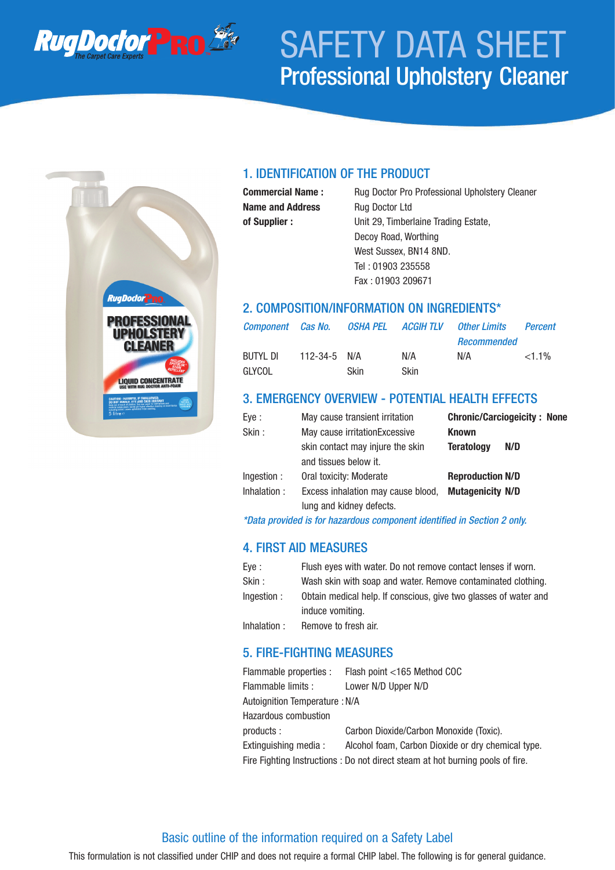

# SAFETY DATA SHEET Professional Upholstery Cleaner



### 1. IDENTIFICATION OF THE PRODUCT

**Name and Address** Rug Doctor Ltd

**Commercial Name :** Rug Doctor Pro Professional Upholstery Cleaner **of Supplier :** Unit 29, Timberlaine Trading Estate, Decoy Road, Worthing West Sussex, BN14 8ND. Tel : 01903 235558 Fax : 01903 209671

### 2. COMPOSITION/INFORMATION ON INGREDIENTS\*

| <b>Component</b> Cas No. |                    |       | OSHA PEL ACGIH TLV | Other Limits | Percent  |
|--------------------------|--------------------|-------|--------------------|--------------|----------|
|                          |                    |       |                    | Recommended  |          |
| BUTYL DI                 | $112 - 34 - 5$ N/A |       | N/A                | N/A          | $<1.1\%$ |
| GLYCOL                   |                    | Skin. | Skin               |              |          |

### 3. EMERGENCY OVERVIEW - POTENTIAL HEALTH EFFECTS

| Eye :       | May cause transient irritation     | <b>Chronic/Carciogeicity: None</b> |
|-------------|------------------------------------|------------------------------------|
| Skin:       | May cause irritationExcessive      | <b>Known</b>                       |
|             | skin contact may injure the skin   | <b>Teratology</b><br>N/D           |
|             | and tissues below it.              |                                    |
| Ingestion : | Oral toxicity: Moderate            | <b>Reproduction N/D</b>            |
| Inhalation: | Excess inhalation may cause blood, | <b>Mutagenicity N/D</b>            |
|             | lung and kidney defects.           |                                    |

*\*Data provided is for hazardous component identified in Section 2 only.*

# 4. FIRST AID MEASURES

| Eve :       | Flush eyes with water. Do not remove contact lenses if worn.     |
|-------------|------------------------------------------------------------------|
| Skin :      | Wash skin with soap and water. Remove contaminated clothing.     |
| Ingestion : | Obtain medical help. If conscious, give two glasses of water and |
|             | induce vomiting.                                                 |
| Inhalation: | Remove to fresh air.                                             |

### 5. FIRE-FIGHTING MEASURES

|                                                                               | Flammable properties : Flash point <165 Method COC |  |  |
|-------------------------------------------------------------------------------|----------------------------------------------------|--|--|
| Flammable limits :                                                            | Lower N/D Upper N/D                                |  |  |
| Autoignition Temperature : N/A                                                |                                                    |  |  |
| <b>Hazardous combustion</b>                                                   |                                                    |  |  |
| products :                                                                    | Carbon Dioxide/Carbon Monoxide (Toxic).            |  |  |
| Extinguishing media :                                                         | Alcohol foam, Carbon Dioxide or dry chemical type. |  |  |
| Fire Fighting Instructions: Do not direct steam at hot burning pools of fire. |                                                    |  |  |
|                                                                               |                                                    |  |  |

#### Basic outline of the information required on a Safety Label

This formulation is not classified under CHIP and does not require a formal CHIP label. The following is for general guidance.